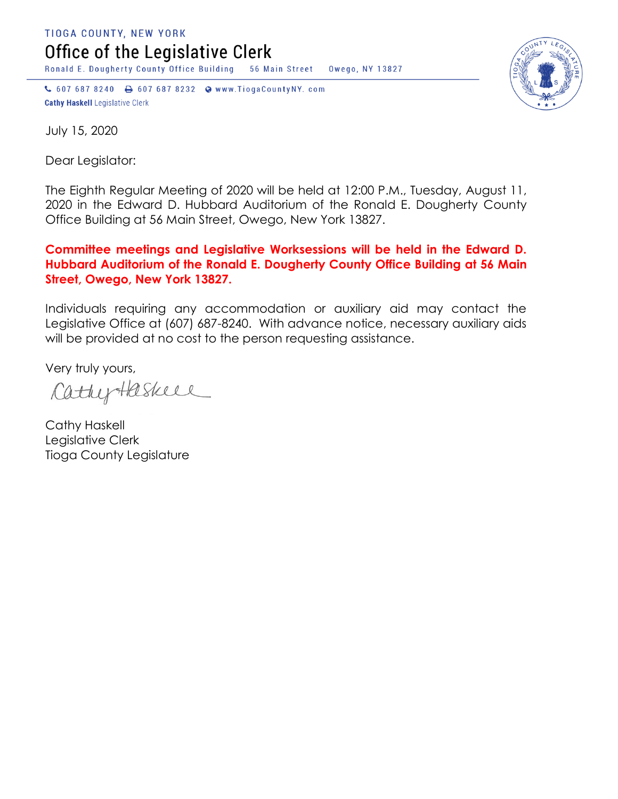TIOGA COUNTY, NEW YORK Office of the Legislative Clerk

Ronald E. Dougherty County Office Building 56 Main Street Owego, NY 13827

↓ 607 687 8240 → 607 687 8232 → www.TiogaCountyNY.com **Cathy Haskell Legislative Clerk** 



July 15, 2020

Dear Legislator:

The Eighth Regular Meeting of 2020 will be held at 12:00 P.M., Tuesday, August 11, 2020 in the Edward D. Hubbard Auditorium of the Ronald E. Dougherty County Office Building at 56 Main Street, Owego, New York 13827.

## **Committee meetings and Legislative Worksessions will be held in the Edward D. Hubbard Auditorium of the Ronald E. Dougherty County Office Building at 56 Main Street, Owego, New York 13827.**

Individuals requiring any accommodation or auxiliary aid may contact the Legislative Office at (607) 687-8240. With advance notice, necessary auxiliary aids will be provided at no cost to the person requesting assistance.

Very truly yours,

CathyHaskell

Cathy Haskell Legislative Clerk Tioga County Legislature